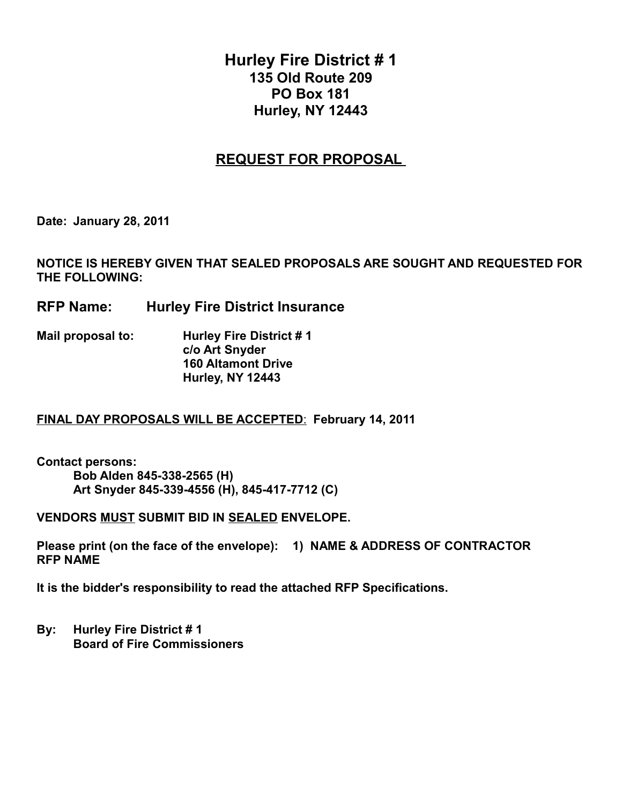# **Hurley Fire District # 1 135 Old Route 209 PO Box 181 Hurley, NY 12443**

## **REQUEST FOR PROPOSAL**

**Date: January 28, 2011**

**NOTICE IS HEREBY GIVEN THAT SEALED PROPOSALS ARE SOUGHT AND REQUESTED FOR THE FOLLOWING:**

- **RFP Name: Hurley Fire District Insurance**
- **Mail proposal to: Hurley Fire District # 1 c/o Art Snyder 160 Altamont Drive Hurley, NY 12443**

### **FINAL DAY PROPOSALS WILL BE ACCEPTED**: **February 14, 2011**

**Contact persons: Bob Alden 845-338-2565 (H) Art Snyder 845-339-4556 (H), 845-417-7712 (C)**

**VENDORS MUST SUBMIT BID IN SEALED ENVELOPE.**

**Please print (on the face of the envelope): 1) NAME & ADDRESS OF CONTRACTOR RFP NAME** 

**It is the bidder's responsibility to read the attached RFP Specifications.**

**By: Hurley Fire District # 1 Board of Fire Commissioners**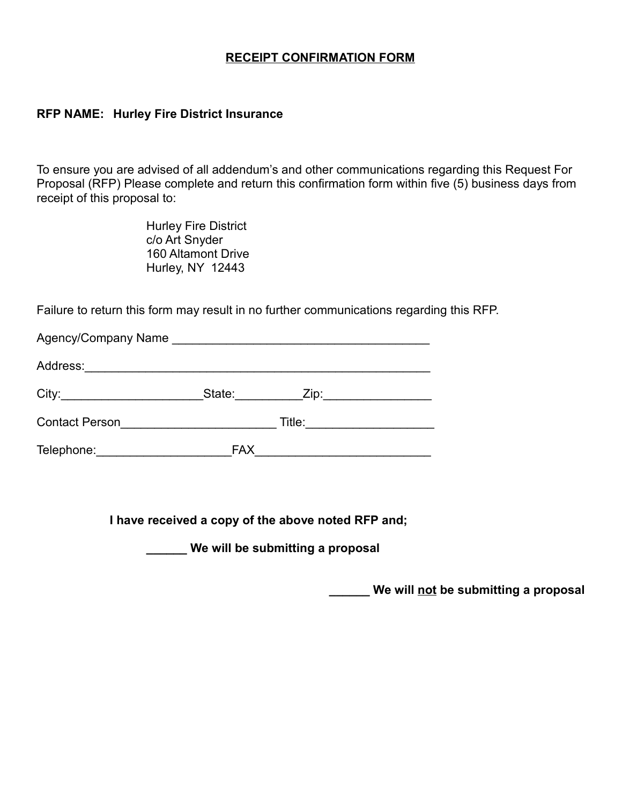## **RECEIPT CONFIRMATION FORM**

### **RFP NAME: Hurley Fire District Insurance**

To ensure you are advised of all addendum's and other communications regarding this Request For Proposal (RFP) Please complete and return this confirmation form within five (5) business days from receipt of this proposal to:

> Hurley Fire District c/o Art Snyder 160 Altamont Drive Hurley, NY 12443

Failure to return this form may result in no further communications regarding this RFP.

| Address:              | <u> 1980 - Johann Harry Barn, mars and de Branch and de Branch and de Branch and de Branch and de Branch and de B</u> |                         |  |
|-----------------------|-----------------------------------------------------------------------------------------------------------------------|-------------------------|--|
|                       | State:                                                                                                                | Zip:___________________ |  |
| <b>Contact Person</b> |                                                                                                                       | Title:                  |  |
| Telephone:            | <b>FAX</b>                                                                                                            |                         |  |

**I have received a copy of the above noted RFP and;**

**\_\_\_\_\_\_ We will be submitting a proposal**

**\_\_\_\_\_\_ We will not be submitting a proposal**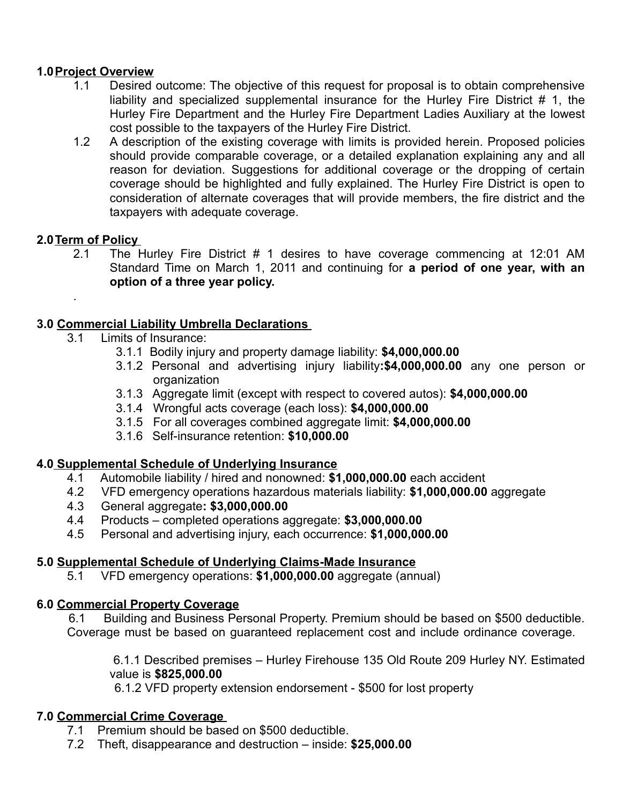## **1.0 Project Overview**

- 1.1 Desired outcome: The objective of this request for proposal is to obtain comprehensive liability and specialized supplemental insurance for the Hurley Fire District # 1, the Hurley Fire Department and the Hurley Fire Department Ladies Auxiliary at the lowest cost possible to the taxpayers of the Hurley Fire District.
- 1.2 A description of the existing coverage with limits is provided herein. Proposed policies should provide comparable coverage, or a detailed explanation explaining any and all reason for deviation. Suggestions for additional coverage or the dropping of certain coverage should be highlighted and fully explained. The Hurley Fire District is open to consideration of alternate coverages that will provide members, the fire district and the taxpayers with adequate coverage.

## **2.0 Term of Policy**

.

2.1 The Hurley Fire District # 1 desires to have coverage commencing at 12:01 AM Standard Time on March 1, 2011 and continuing for **a period of one year, with an option of a three year policy.** 

### **3.0 Commercial Liability Umbrella Declarations**

- 3.1 Limits of Insurance:
	- 3.1.1 Bodily injury and property damage liability: **\$4,000,000.00**
	- 3.1.2 Personal and advertising injury liability**:\$4,000,000.00** any one person or organization
	- 3.1.3 Aggregate limit (except with respect to covered autos): **\$4,000,000.00**
	- 3.1.4 Wrongful acts coverage (each loss): **\$4,000,000.00**
	- 3.1.5 For all coverages combined aggregate limit: **\$4,000,000.00**
	- 3.1.6 Self-insurance retention: **\$10,000.00**

### **4.0 Supplemental Schedule of Underlying Insurance**

- 4.1 Automobile liability / hired and nonowned: **\$1,000,000.00** each accident
- 4.2 VFD emergency operations hazardous materials liability: **\$1,000,000.00** aggregate
- 4.3 General aggregate**: \$3,000,000.00**
- 4.4 Products completed operations aggregate: **\$3,000,000.00**
- 4.5 Personal and advertising injury, each occurrence: **\$1,000,000.00**

### **5.0 Supplemental Schedule of Underlying Claims-Made Insurance**

5.1 VFD emergency operations: **\$1,000,000.00** aggregate (annual)

### **6.0 Commercial Property Coverage**

6.1 Building and Business Personal Property. Premium should be based on \$500 deductible. Coverage must be based on guaranteed replacement cost and include ordinance coverage.

 6.1.1 Described premises – Hurley Firehouse 135 Old Route 209 Hurley NY. Estimated value is **\$825,000.00**

6.1.2 VFD property extension endorsement - \$500 for lost property

### **7.0 Commercial Crime Coverage**

- 7.1 Premium should be based on \$500 deductible.
- 7.2 Theft, disappearance and destruction inside: **\$25,000.00**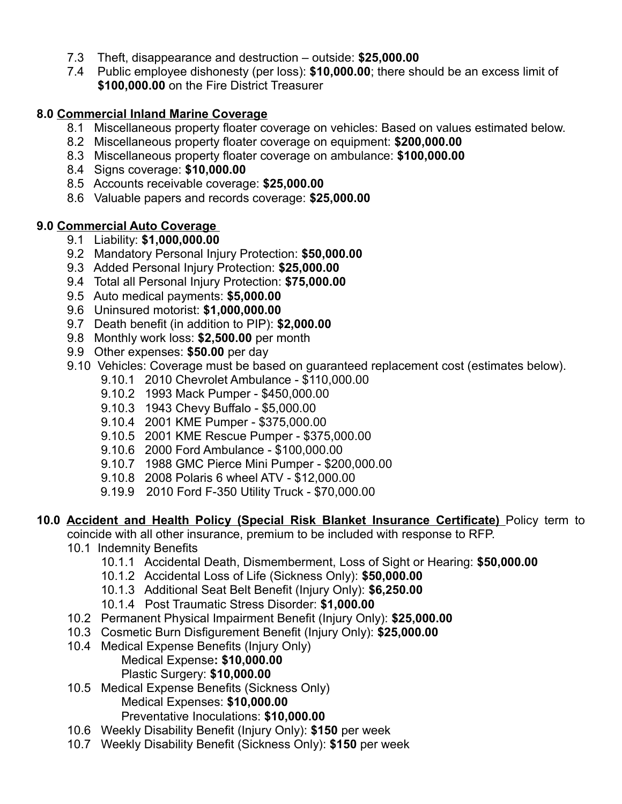- 7.3 Theft, disappearance and destruction outside: **\$25,000.00**
- 7.4 Public employee dishonesty (per loss): **\$10,000.00**; there should be an excess limit of **\$100,000.00** on the Fire District Treasurer

## **8.0 Commercial Inland Marine Coverage**

- 8.1 Miscellaneous property floater coverage on vehicles: Based on values estimated below.
- 8.2 Miscellaneous property floater coverage on equipment: **\$200,000.00**
- 8.3 Miscellaneous property floater coverage on ambulance: **\$100,000.00**
- 8.4 Signs coverage: **\$10,000.00**
- 8.5 Accounts receivable coverage: **\$25,000.00**
- 8.6 Valuable papers and records coverage: **\$25,000.00**

### **9.0 Commercial Auto Coverage**

- 9.1 Liability: **\$1,000,000.00**
- 9.2 Mandatory Personal Injury Protection: **\$50,000.00**
- 9.3 Added Personal Injury Protection: **\$25,000.00**
- 9.4 Total all Personal Injury Protection: **\$75,000.00**
- 9.5 Auto medical payments: **\$5,000.00**
- 9.6 Uninsured motorist: **\$1,000,000.00**
- 9.7 Death benefit (in addition to PIP): **\$2,000.00**
- 9.8 Monthly work loss: **\$2,500.00** per month
- 9.9 Other expenses: **\$50.00** per day
- 9.10 Vehicles: Coverage must be based on guaranteed replacement cost (estimates below).
	- 9.10.1 2010 Chevrolet Ambulance \$110,000.00
		- 9.10.2 1993 Mack Pumper \$450,000.00
		- 9.10.3 1943 Chevy Buffalo \$5,000.00
		- 9.10.4 2001 KME Pumper \$375,000.00
		- 9.10.5 2001 KME Rescue Pumper \$375,000.00
		- 9.10.6 2000 Ford Ambulance \$100,000.00
		- 9.10.7 1988 GMC Pierce Mini Pumper \$200,000.00
		- 9.10.8 2008 Polaris 6 wheel ATV \$12,000.00
		- 9.19.9 2010 Ford F-350 Utility Truck \$70,000.00

### **10.0 Accident and Health Policy (Special Risk Blanket Insurance Certificate)** Policy term to

coincide with all other insurance, premium to be included with response to RFP.

- 10.1 Indemnity Benefits
	- 10.1.1 Accidental Death, Dismemberment, Loss of Sight or Hearing: **\$50,000.00**
	- 10.1.2 Accidental Loss of Life (Sickness Only): **\$50,000.00**
	- 10.1.3 Additional Seat Belt Benefit (Injury Only): **\$6,250.00**
	- 10.1.4 Post Traumatic Stress Disorder: **\$1,000.00**
- 10.2 Permanent Physical Impairment Benefit (Injury Only): **\$25,000.00**
- 10.3 Cosmetic Burn Disfigurement Benefit (Injury Only): **\$25,000.00**
- 10.4 Medical Expense Benefits (Injury Only) Medical Expense**: \$10,000.00** Plastic Surgery: **\$10,000.00**
- 10.5 Medical Expense Benefits (Sickness Only) Medical Expenses: **\$10,000.00** Preventative Inoculations: **\$10,000.00**
- 10.6 Weekly Disability Benefit (Injury Only): **\$150** per week
- 10.7 Weekly Disability Benefit (Sickness Only): **\$150** per week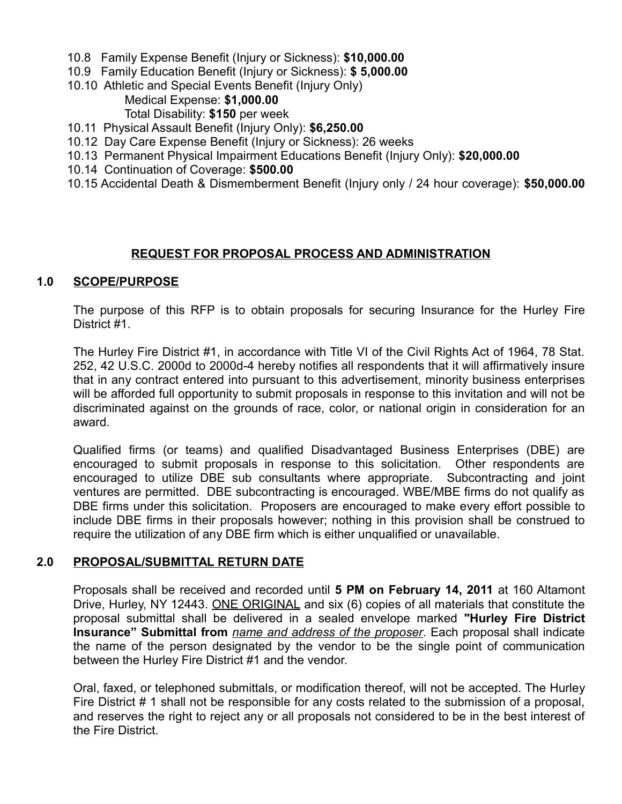- 10.8 Family Expense Benefit (Injury or Sickness): **\$10,000.00**
- 10.9 Family Education Benefit (Injury or Sickness): **\$ 5,000.00**
- 10.10 Athletic and Special Events Benefit (Injury Only) Medical Expense: **\$1,000.00** Total Disability: **\$150** per week
- 10.11 Physical Assault Benefit (Injury Only): **\$6,250.00**
- 10.12 Day Care Expense Benefit (Injury or Sickness): 26 weeks
- 10.13 Permanent Physical Impairment Educations Benefit (Injury Only): **\$20,000.00**
- 10.14 Continuation of Coverage: **\$500.00**
- 10.15 Accidental Death & Dismemberment Benefit (Injury only / 24 hour coverage): **\$50,000.00**

### **REQUEST FOR PROPOSAL PROCESS AND ADMINISTRATION**

#### **1.0 SCOPE/PURPOSE**

The purpose of this RFP is to obtain proposals for securing Insurance for the Hurley Fire District #1.

The Hurley Fire District #1, in accordance with Title VI of the Civil Rights Act of 1964, 78 Stat. 252, 42 U.S.C. 2000d to 2000d-4 hereby notifies all respondents that it will affirmatively insure that in any contract entered into pursuant to this advertisement, minority business enterprises will be afforded full opportunity to submit proposals in response to this invitation and will not be discriminated against on the grounds of race, color, or national origin in consideration for an award.

Qualified firms (or teams) and qualified Disadvantaged Business Enterprises (DBE) are encouraged to submit proposals in response to this solicitation. Other respondents are encouraged to utilize DBE sub consultants where appropriate. Subcontracting and joint ventures are permitted. DBE subcontracting is encouraged. WBE/MBE firms do not qualify as DBE firms under this solicitation. Proposers are encouraged to make every effort possible to include DBE firms in their proposals however; nothing in this provision shall be construed to require the utilization of any DBE firm which is either unqualified or unavailable.

#### **2.0 PROPOSAL/SUBMITTAL RETURN DATE**

Proposals shall be received and recorded until **5 PM on February 14, 2011** at 160 Altamont Drive, Hurley, NY 12443. ONE ORIGINAL and six (6) copies of all materials that constitute the proposal submittal shall be delivered in a sealed envelope marked **"Hurley Fire District Insurance" Submittal from** *name and address of the proposer*. Each proposal shall indicate the name of the person designated by the vendor to be the single point of communication between the Hurley Fire District #1 and the vendor.

Oral, faxed, or telephoned submittals, or modification thereof, will not be accepted. The Hurley Fire District # 1 shall not be responsible for any costs related to the submission of a proposal, and reserves the right to reject any or all proposals not considered to be in the best interest of the Fire District.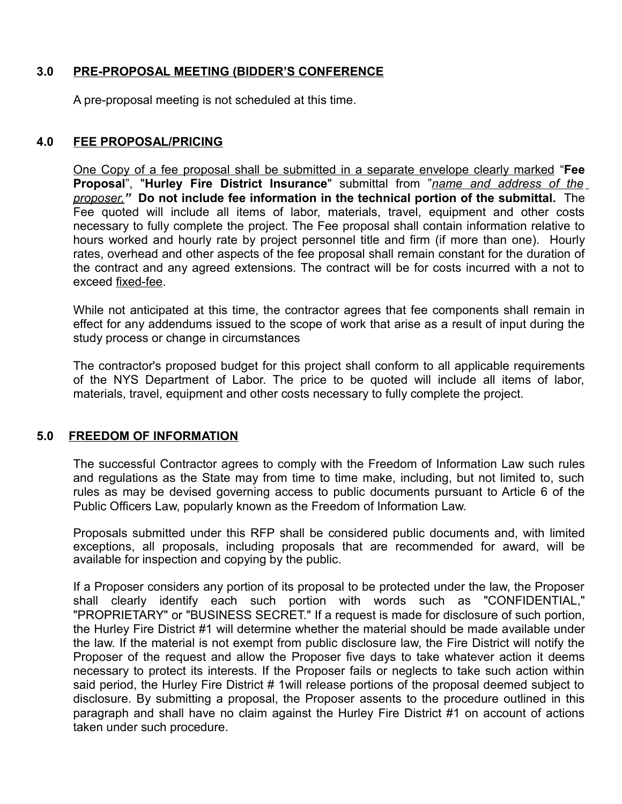## **3.0 PRE-PROPOSAL MEETING (BIDDER'S CONFERENCE**

A pre-proposal meeting is not scheduled at this time.

## **4.0 FEE PROPOSAL/PRICING**

One Copy of a fee proposal shall be submitted in a separate envelope clearly marked "**Fee Proposal**", "**Hurley Fire District Insurance**" submittal from "*name and address of the proposer."* **Do not include fee information in the technical portion of the submittal.** The Fee quoted will include all items of labor, materials, travel, equipment and other costs necessary to fully complete the project. The Fee proposal shall contain information relative to hours worked and hourly rate by project personnel title and firm (if more than one). Hourly rates, overhead and other aspects of the fee proposal shall remain constant for the duration of the contract and any agreed extensions. The contract will be for costs incurred with a not to exceed fixed-fee.

While not anticipated at this time, the contractor agrees that fee components shall remain in effect for any addendums issued to the scope of work that arise as a result of input during the study process or change in circumstances

The contractor's proposed budget for this project shall conform to all applicable requirements of the NYS Department of Labor. The price to be quoted will include all items of labor, materials, travel, equipment and other costs necessary to fully complete the project.

### **5.0 FREEDOM OF INFORMATION**

The successful Contractor agrees to comply with the Freedom of Information Law such rules and regulations as the State may from time to time make, including, but not limited to, such rules as may be devised governing access to public documents pursuant to Article 6 of the Public Officers Law, popularly known as the Freedom of Information Law.

Proposals submitted under this RFP shall be considered public documents and, with limited exceptions, all proposals, including proposals that are recommended for award, will be available for inspection and copying by the public.

If a Proposer considers any portion of its proposal to be protected under the law, the Proposer shall clearly identify each such portion with words such as "CONFIDENTIAL," "PROPRIETARY" or "BUSINESS SECRET." If a request is made for disclosure of such portion, the Hurley Fire District #1 will determine whether the material should be made available under the law. If the material is not exempt from public disclosure law, the Fire District will notify the Proposer of the request and allow the Proposer five days to take whatever action it deems necessary to protect its interests. If the Proposer fails or neglects to take such action within said period, the Hurley Fire District # 1 will release portions of the proposal deemed subject to disclosure. By submitting a proposal, the Proposer assents to the procedure outlined in this paragraph and shall have no claim against the Hurley Fire District #1 on account of actions taken under such procedure.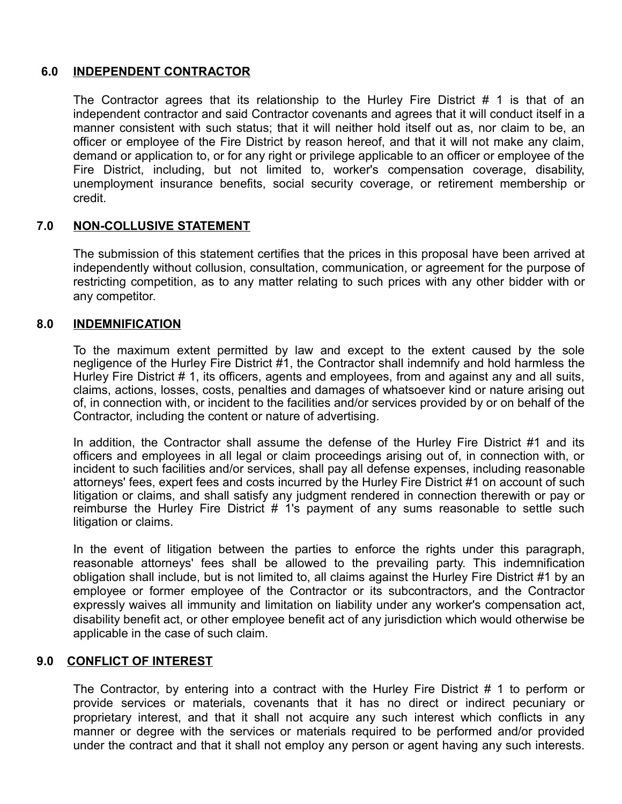## **6.0 INDEPENDENT CONTRACTOR**

The Contractor agrees that its relationship to the Hurley Fire District # 1 is that of an independent contractor and said Contractor covenants and agrees that it will conduct itself in a manner consistent with such status; that it will neither hold itself out as, nor claim to be, an officer or employee of the Fire District by reason hereof, and that it will not make any claim, demand or application to, or for any right or privilege applicable to an officer or employee of the Fire District, including, but not limited to, worker's compensation coverage, disability, unemployment insurance benefits, social security coverage, or retirement membership or credit.

## **7.0 NON-COLLUSIVE STATEMENT**

The submission of this statement certifies that the prices in this proposal have been arrived at independently without collusion, consultation, communication, or agreement for the purpose of restricting competition, as to any matter relating to such prices with any other bidder with or any competitor.

#### **8.0 INDEMNIFICATION**

To the maximum extent permitted by law and except to the extent caused by the sole negligence of the Hurley Fire District #1, the Contractor shall indemnify and hold harmless the Hurley Fire District # 1, its officers, agents and employees, from and against any and all suits, claims, actions, losses, costs, penalties and damages of whatsoever kind or nature arising out of, in connection with, or incident to the facilities and/or services provided by or on behalf of the Contractor, including the content or nature of advertising.

In addition, the Contractor shall assume the defense of the Hurley Fire District #1 and its officers and employees in all legal or claim proceedings arising out of, in connection with, or incident to such facilities and/or services, shall pay all defense expenses, including reasonable attorneys' fees, expert fees and costs incurred by the Hurley Fire District #1 on account of such litigation or claims, and shall satisfy any judgment rendered in connection therewith or pay or reimburse the Hurley Fire District # 1's payment of any sums reasonable to settle such litigation or claims.

In the event of litigation between the parties to enforce the rights under this paragraph, reasonable attorneys' fees shall be allowed to the prevailing party. This indemnification obligation shall include, but is not limited to, all claims against the Hurley Fire District #1 by an employee or former employee of the Contractor or its subcontractors, and the Contractor expressly waives all immunity and limitation on liability under any worker's compensation act, disability benefit act, or other employee benefit act of any jurisdiction which would otherwise be applicable in the case of such claim.

### **9.0 CONFLICT OF INTEREST**

The Contractor, by entering into a contract with the Hurley Fire District # 1 to perform or provide services or materials, covenants that it has no direct or indirect pecuniary or proprietary interest, and that it shall not acquire any such interest which conflicts in any manner or degree with the services or materials required to be performed and/or provided under the contract and that it shall not employ any person or agent having any such interests.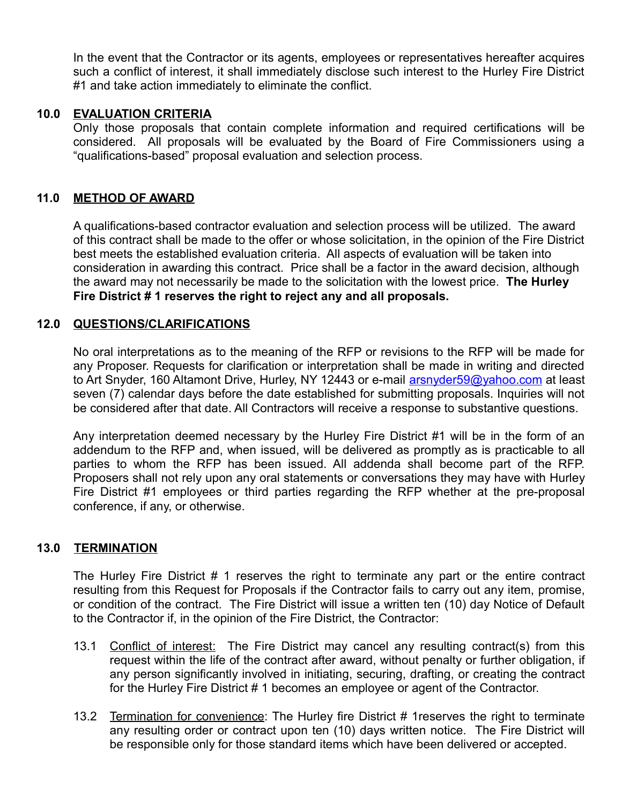In the event that the Contractor or its agents, employees or representatives hereafter acquires such a conflict of interest, it shall immediately disclose such interest to the Hurley Fire District #1 and take action immediately to eliminate the conflict.

### **10.0 EVALUATION CRITERIA**

Only those proposals that contain complete information and required certifications will be considered. All proposals will be evaluated by the Board of Fire Commissioners using a "qualifications-based" proposal evaluation and selection process.

## **11.0 METHOD OF AWARD**

A qualifications-based contractor evaluation and selection process will be utilized. The award of this contract shall be made to the offer or whose solicitation, in the opinion of the Fire District best meets the established evaluation criteria. All aspects of evaluation will be taken into consideration in awarding this contract. Price shall be a factor in the award decision, although the award may not necessarily be made to the solicitation with the lowest price. **The Hurley Fire District # 1 reserves the right to reject any and all proposals.** 

## **12.0 QUESTIONS/CLARIFICATIONS**

No oral interpretations as to the meaning of the RFP or revisions to the RFP will be made for any Proposer. Requests for clarification or interpretation shall be made in writing and directed to Art Snyder, 160 Altamont Drive, Hurley, NY 12443 or e-mail **arsnyder59@yahoo.com** at least seven (7) calendar days before the date established for submitting proposals. Inquiries will not be considered after that date. All Contractors will receive a response to substantive questions.

Any interpretation deemed necessary by the Hurley Fire District #1 will be in the form of an addendum to the RFP and, when issued, will be delivered as promptly as is practicable to all parties to whom the RFP has been issued. All addenda shall become part of the RFP. Proposers shall not rely upon any oral statements or conversations they may have with Hurley Fire District #1 employees or third parties regarding the RFP whether at the pre-proposal conference, if any, or otherwise.

### **13.0 TERMINATION**

The Hurley Fire District # 1 reserves the right to terminate any part or the entire contract resulting from this Request for Proposals if the Contractor fails to carry out any item, promise, or condition of the contract. The Fire District will issue a written ten (10) day Notice of Default to the Contractor if, in the opinion of the Fire District, the Contractor:

- 13.1 Conflict of interest: The Fire District may cancel any resulting contract(s) from this request within the life of the contract after award, without penalty or further obligation, if any person significantly involved in initiating, securing, drafting, or creating the contract for the Hurley Fire District # 1 becomes an employee or agent of the Contractor.
- 13.2 Termination for convenience: The Hurley fire District # 1reserves the right to terminate any resulting order or contract upon ten (10) days written notice. The Fire District will be responsible only for those standard items which have been delivered or accepted.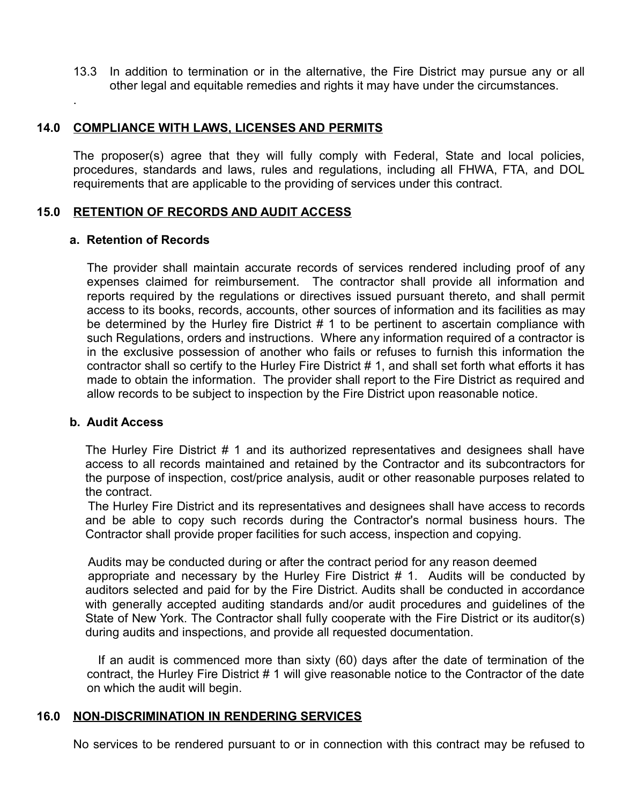13.3 In addition to termination or in the alternative, the Fire District may pursue any or all other legal and equitable remedies and rights it may have under the circumstances.

#### **14.0 COMPLIANCE WITH LAWS, LICENSES AND PERMITS**

The proposer(s) agree that they will fully comply with Federal, State and local policies, procedures, standards and laws, rules and regulations, including all FHWA, FTA, and DOL requirements that are applicable to the providing of services under this contract.

#### **15.0 RETENTION OF RECORDS AND AUDIT ACCESS**

#### **a. Retention of Records**

.

The provider shall maintain accurate records of services rendered including proof of any expenses claimed for reimbursement. The contractor shall provide all information and reports required by the regulations or directives issued pursuant thereto, and shall permit access to its books, records, accounts, other sources of information and its facilities as may be determined by the Hurley fire District # 1 to be pertinent to ascertain compliance with such Regulations, orders and instructions. Where any information required of a contractor is in the exclusive possession of another who fails or refuses to furnish this information the contractor shall so certify to the Hurley Fire District # 1, and shall set forth what efforts it has made to obtain the information. The provider shall report to the Fire District as required and allow records to be subject to inspection by the Fire District upon reasonable notice.

#### **b. Audit Access**

The Hurley Fire District # 1 and its authorized representatives and designees shall have access to all records maintained and retained by the Contractor and its subcontractors for the purpose of inspection, cost/price analysis, audit or other reasonable purposes related to the contract.

The Hurley Fire District and its representatives and designees shall have access to records and be able to copy such records during the Contractor's normal business hours. The Contractor shall provide proper facilities for such access, inspection and copying.

Audits may be conducted during or after the contract period for any reason deemed appropriate and necessary by the Hurley Fire District # 1. Audits will be conducted by auditors selected and paid for by the Fire District. Audits shall be conducted in accordance with generally accepted auditing standards and/or audit procedures and guidelines of the State of New York. The Contractor shall fully cooperate with the Fire District or its auditor(s) during audits and inspections, and provide all requested documentation.

 If an audit is commenced more than sixty (60) days after the date of termination of the contract, the Hurley Fire District # 1 will give reasonable notice to the Contractor of the date on which the audit will begin.

#### **16.0 NON - DISCRIMINATION IN RENDERING SERVICES**

No services to be rendered pursuant to or in connection with this contract may be refused to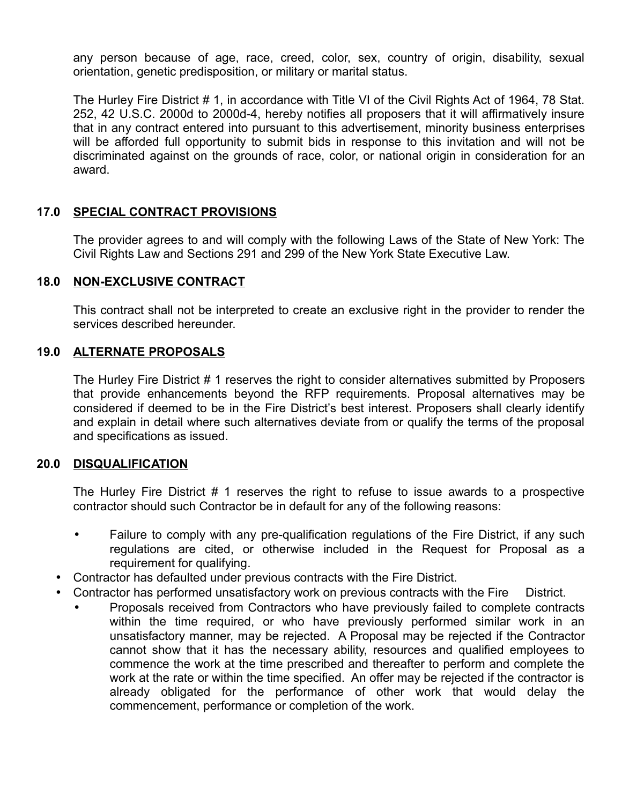any person because of age, race, creed, color, sex, country of origin, disability, sexual orientation, genetic predisposition, or military or marital status.

The Hurley Fire District # 1, in accordance with Title VI of the Civil Rights Act of 1964, 78 Stat. 252, 42 U.S.C. 2000d to 2000d-4, hereby notifies all proposers that it will affirmatively insure that in any contract entered into pursuant to this advertisement, minority business enterprises will be afforded full opportunity to submit bids in response to this invitation and will not be discriminated against on the grounds of race, color, or national origin in consideration for an award.

## **17.0 SPECIAL CONTRACT PROVISIONS**

The provider agrees to and will comply with the following Laws of the State of New York: The Civil Rights Law and Sections 291 and 299 of the New York State Executive Law.

### **18.0 NON-EXCLUSIVE CONTRACT**

This contract shall not be interpreted to create an exclusive right in the provider to render the services described hereunder.

#### **19.0 ALTERNATE PROPOSALS**

The Hurley Fire District # 1 reserves the right to consider alternatives submitted by Proposers that provide enhancements beyond the RFP requirements. Proposal alternatives may be considered if deemed to be in the Fire District's best interest. Proposers shall clearly identify and explain in detail where such alternatives deviate from or qualify the terms of the proposal and specifications as issued.

#### **20.0 DISQUALIFICATION**

The Hurley Fire District # 1 reserves the right to refuse to issue awards to a prospective contractor should such Contractor be in default for any of the following reasons:

- Failure to comply with any pre-qualification regulations of the Fire District, if any such regulations are cited, or otherwise included in the Request for Proposal as a requirement for qualifying.
- Contractor has defaulted under previous contracts with the Fire District.
- Contractor has performed unsatisfactory work on previous contracts with the Fire District.
	- Proposals received from Contractors who have previously failed to complete contracts within the time required, or who have previously performed similar work in an unsatisfactory manner, may be rejected. A Proposal may be rejected if the Contractor cannot show that it has the necessary ability, resources and qualified employees to commence the work at the time prescribed and thereafter to perform and complete the work at the rate or within the time specified. An offer may be rejected if the contractor is already obligated for the performance of other work that would delay the commencement, performance or completion of the work.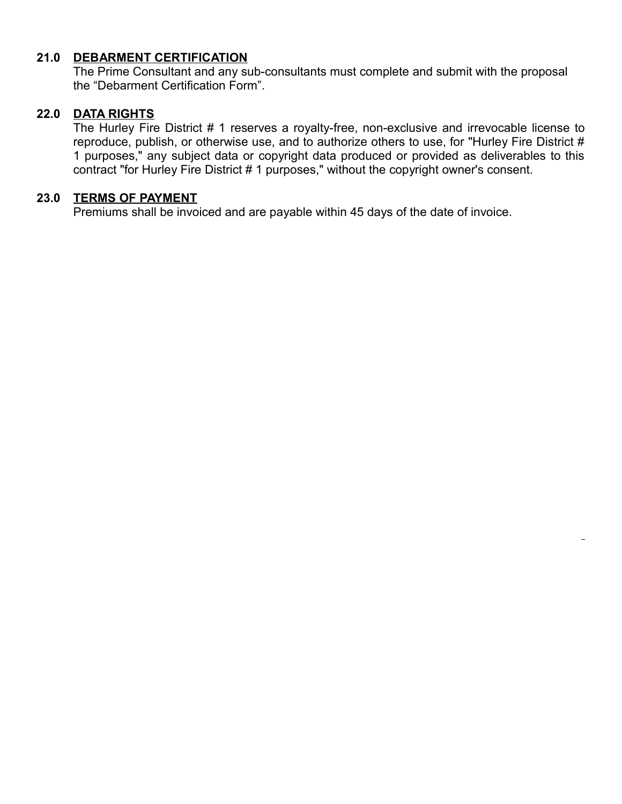## **21.0 DEBARMENT CERTIFICATION**

The Prime Consultant and any sub-consultants must complete and submit with the proposal the "Debarment Certification Form".

### **22.0 DATA RIGHTS**

The Hurley Fire District # 1 reserves a royalty-free, non-exclusive and irrevocable license to reproduce, publish, or otherwise use, and to authorize others to use, for "Hurley Fire District # 1 purposes," any subject data or copyright data produced or provided as deliverables to this contract "for Hurley Fire District # 1 purposes," without the copyright owner's consent.

## **23.0 TERMS OF PAYMENT**

Premiums shall be invoiced and are payable within 45 days of the date of invoice.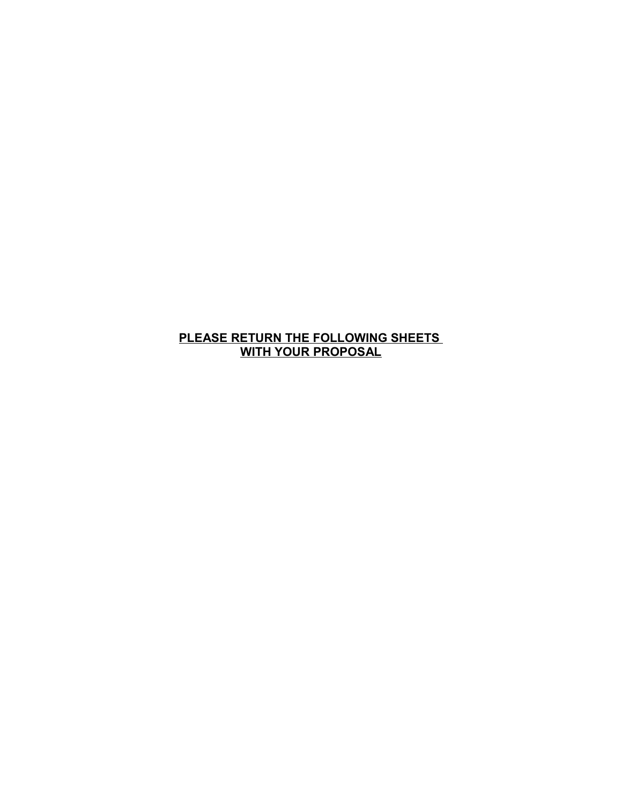**PLEASE RETURN THE FOLLOWING SHEETS WITH YOUR PROPOSAL**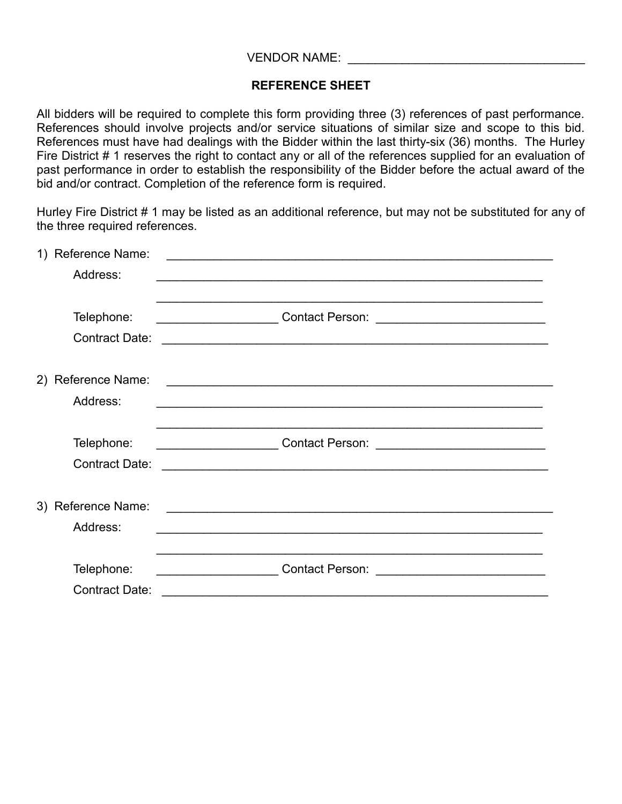## **REFERENCE SHEET**

All bidders will be required to complete this form providing three (3) references of past performance. References should involve projects and/or service situations of similar size and scope to this bid. References must have had dealings with the Bidder within the last thirty-six (36) months. The Hurley Fire District # 1 reserves the right to contact any or all of the references supplied for an evaluation of past performance in order to establish the responsibility of the Bidder before the actual award of the bid and/or contract. Completion of the reference form is required.

Hurley Fire District # 1 may be listed as an additional reference, but may not be substituted for any of the three required references.

| Reference Name:       |                                                                                                                                                                                                   |
|-----------------------|---------------------------------------------------------------------------------------------------------------------------------------------------------------------------------------------------|
| Address:              |                                                                                                                                                                                                   |
|                       |                                                                                                                                                                                                   |
| Telephone:            | __________________________Contact Person:<br><u> Alexandria de la contexta de la contexta de la contexta de la contexta de la contexta de la contexta de la co</u>                                |
| <b>Contract Date:</b> |                                                                                                                                                                                                   |
|                       |                                                                                                                                                                                                   |
| 2) Reference Name:    | <u> 1988 - Johann Stoff, deutscher Stoffen und der Stoffen und der Stoffen und der Stoffen und der Stoffen und der</u>                                                                            |
|                       | <u> 1989 - Johann Stoff, Amerikaansk politiker († 1908)</u>                                                                                                                                       |
|                       |                                                                                                                                                                                                   |
| Telephone:            | ,我们也不会有什么。""我们的人,我们也不会有什么?""我们的人,我们也不会有什么?""我们的人,我们也不会有什么?""我们的人,我们也不会有什么?""我们的人<br>Contact Person: 2008. 2008. 2012. 2014. 2016. 2017. 2018. 2019. 2017. 2018. 2019. 2018. 2019. 2019. 2019. 201 |
|                       |                                                                                                                                                                                                   |
|                       |                                                                                                                                                                                                   |
| 3) Reference Name:    |                                                                                                                                                                                                   |
|                       |                                                                                                                                                                                                   |
|                       |                                                                                                                                                                                                   |
| Telephone:            | <u> 1990 - Johann Barbara, martin a</u><br><b>Contact Person:</b>                                                                                                                                 |
| <b>Contract Date:</b> |                                                                                                                                                                                                   |
|                       | Address:<br><b>Contract Date:</b><br>Address:                                                                                                                                                     |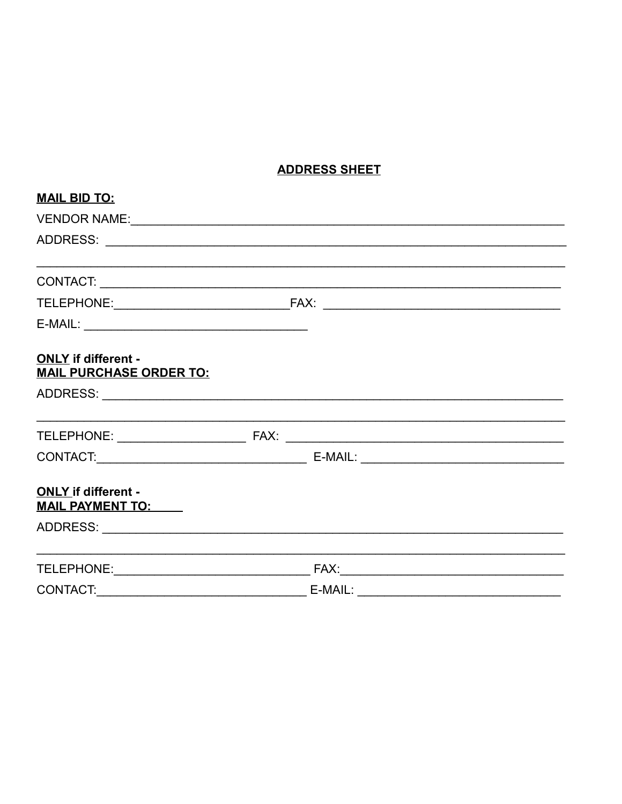# **ADDRESS SHEET**

| <b>MAIL BID TO:</b>                                          |  |           |  |  |  |
|--------------------------------------------------------------|--|-----------|--|--|--|
|                                                              |  |           |  |  |  |
|                                                              |  |           |  |  |  |
|                                                              |  |           |  |  |  |
|                                                              |  |           |  |  |  |
|                                                              |  |           |  |  |  |
| <b>ONLY</b> if different -<br><b>MAIL PURCHASE ORDER TO:</b> |  |           |  |  |  |
|                                                              |  |           |  |  |  |
|                                                              |  |           |  |  |  |
|                                                              |  |           |  |  |  |
| <b>ONLY if different -</b><br><b>MAIL PAYMENT TO:</b>        |  |           |  |  |  |
|                                                              |  |           |  |  |  |
|                                                              |  |           |  |  |  |
| CONTACT:                                                     |  | $E-MAIL:$ |  |  |  |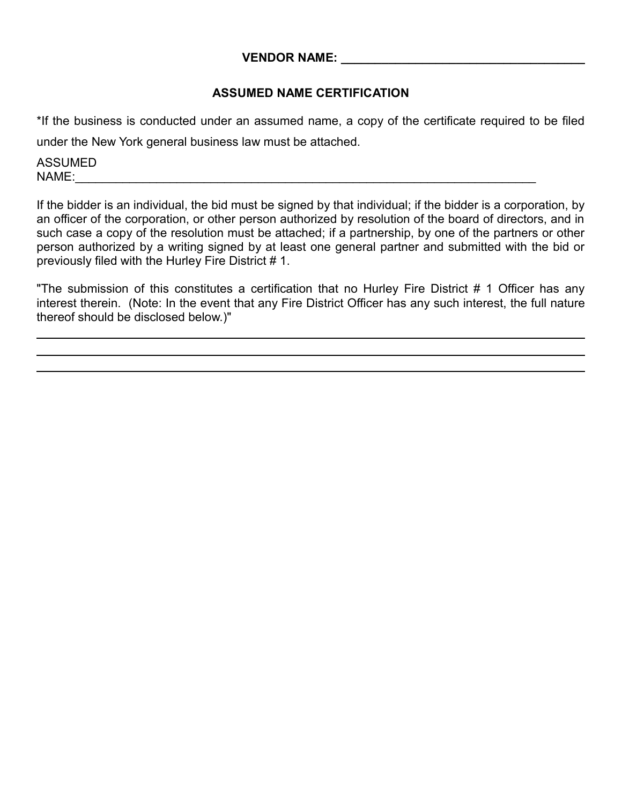## **VENDOR NAME:**

## **ASSUMED NAME CERTIFICATION**

\*If the business is conducted under an assumed name, a copy of the certificate required to be filed under the New York general business law must be attached.

ASSUMED  $NAME:$ 

If the bidder is an individual, the bid must be signed by that individual; if the bidder is a corporation, by an officer of the corporation, or other person authorized by resolution of the board of directors, and in such case a copy of the resolution must be attached; if a partnership, by one of the partners or other person authorized by a writing signed by at least one general partner and submitted with the bid or previously filed with the Hurley Fire District # 1.

"The submission of this constitutes a certification that no Hurley Fire District # 1 Officer has any interest therein. (Note: In the event that any Fire District Officer has any such interest, the full nature thereof should be disclosed below.)"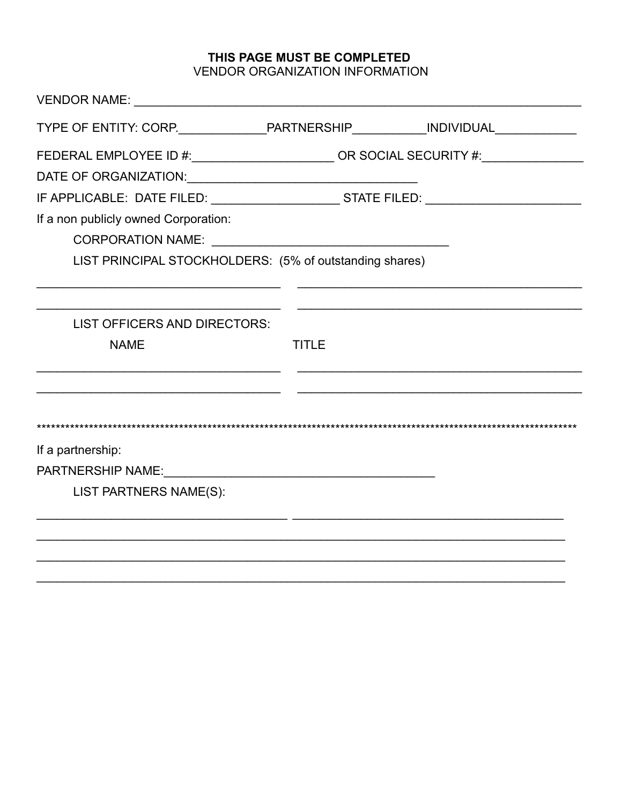## THIS PAGE MUST BE COMPLETED VENDOR ORGANIZATION INFORMATION

| TYPE OF ENTITY: CORP._________________PARTNERSHIP_____________INDIVIDUAL_________ |              |  |
|-----------------------------------------------------------------------------------|--------------|--|
| FEDERAL EMPLOYEE ID #:_______________________OR SOCIAL SECURITY #:______________  |              |  |
|                                                                                   |              |  |
|                                                                                   |              |  |
| If a non publicly owned Corporation:                                              |              |  |
|                                                                                   |              |  |
| LIST PRINCIPAL STOCKHOLDERS: (5% of outstanding shares)                           |              |  |
|                                                                                   |              |  |
| LIST OFFICERS AND DIRECTORS:                                                      |              |  |
| <b>NAME</b>                                                                       | <b>TITLE</b> |  |
|                                                                                   |              |  |
|                                                                                   |              |  |
| If a partnership:                                                                 |              |  |
| PARTNERSHIP NAME: VAN PARTNERSHIP NAME:                                           |              |  |
| LIST PARTNERS NAME(S):                                                            |              |  |
|                                                                                   |              |  |
|                                                                                   |              |  |
|                                                                                   |              |  |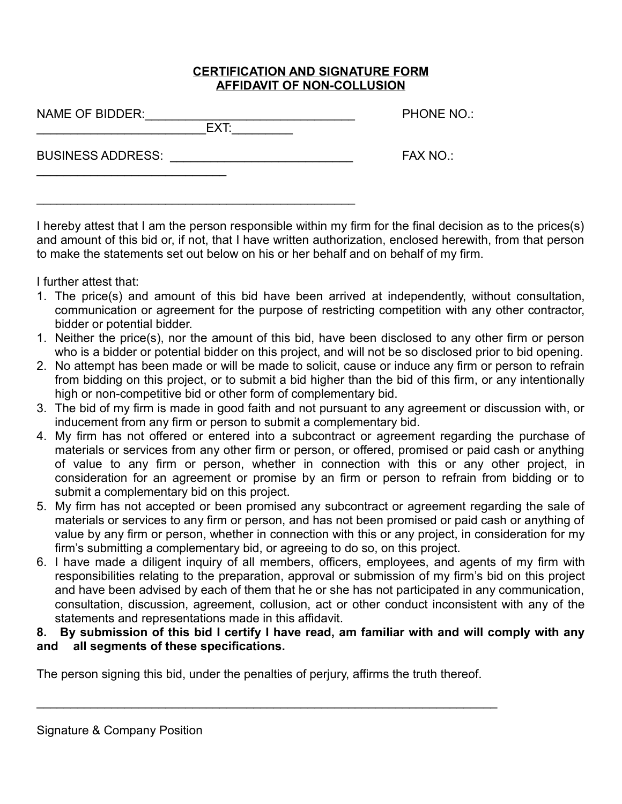### **CERTIFICATION AND SIGNATURE FORM AFFIDAVIT OF NON-COLLUSION**

 $\overline{ext:}=$ 

 $\mathcal{L}_\text{max} = \mathcal{L}_\text{max} = \mathcal{L}_\text{max} = \mathcal{L}_\text{max} = \mathcal{L}_\text{max} = \mathcal{L}_\text{max} = \mathcal{L}_\text{max} = \mathcal{L}_\text{max} = \mathcal{L}_\text{max} = \mathcal{L}_\text{max} = \mathcal{L}_\text{max} = \mathcal{L}_\text{max} = \mathcal{L}_\text{max} = \mathcal{L}_\text{max} = \mathcal{L}_\text{max} = \mathcal{L}_\text{max} = \mathcal{L}_\text{max} = \mathcal{L}_\text{max} = \mathcal{$ 

PHONE NO.:

BUSINESS ADDRESS: \_\_\_\_\_\_\_\_\_\_\_\_\_\_\_\_\_\_\_\_\_\_\_\_\_\_\_ FAX NO.:

 $\mathcal{L}_\text{max}$  , where  $\mathcal{L}_\text{max}$  , we have the set of  $\mathcal{L}_\text{max}$ 

I hereby attest that I am the person responsible within my firm for the final decision as to the prices(s) and amount of this bid or, if not, that I have written authorization, enclosed herewith, from that person to make the statements set out below on his or her behalf and on behalf of my firm.

I further attest that:

- 1. The price(s) and amount of this bid have been arrived at independently, without consultation, communication or agreement for the purpose of restricting competition with any other contractor, bidder or potential bidder.
- 1. Neither the price(s), nor the amount of this bid, have been disclosed to any other firm or person who is a bidder or potential bidder on this project, and will not be so disclosed prior to bid opening.
- 2. No attempt has been made or will be made to solicit, cause or induce any firm or person to refrain from bidding on this project, or to submit a bid higher than the bid of this firm, or any intentionally high or non-competitive bid or other form of complementary bid.
- 3. The bid of my firm is made in good faith and not pursuant to any agreement or discussion with, or inducement from any firm or person to submit a complementary bid.
- 4. My firm has not offered or entered into a subcontract or agreement regarding the purchase of materials or services from any other firm or person, or offered, promised or paid cash or anything of value to any firm or person, whether in connection with this or any other project, in consideration for an agreement or promise by an firm or person to refrain from bidding or to submit a complementary bid on this project.
- 5. My firm has not accepted or been promised any subcontract or agreement regarding the sale of materials or services to any firm or person, and has not been promised or paid cash or anything of value by any firm or person, whether in connection with this or any project, in consideration for my firm's submitting a complementary bid, or agreeing to do so, on this project.
- 6. I have made a diligent inquiry of all members, officers, employees, and agents of my firm with responsibilities relating to the preparation, approval or submission of my firm's bid on this project and have been advised by each of them that he or she has not participated in any communication, consultation, discussion, agreement, collusion, act or other conduct inconsistent with any of the statements and representations made in this affidavit.

## **8. By submission of this bid I certify I have read, am familiar with and will comply with any and all segments of these specifications.**

The person signing this bid, under the penalties of perjury, affirms the truth thereof.

 $\mathcal{L}_\mathcal{L} = \mathcal{L}_\mathcal{L} = \mathcal{L}_\mathcal{L} = \mathcal{L}_\mathcal{L} = \mathcal{L}_\mathcal{L} = \mathcal{L}_\mathcal{L} = \mathcal{L}_\mathcal{L} = \mathcal{L}_\mathcal{L} = \mathcal{L}_\mathcal{L} = \mathcal{L}_\mathcal{L} = \mathcal{L}_\mathcal{L} = \mathcal{L}_\mathcal{L} = \mathcal{L}_\mathcal{L} = \mathcal{L}_\mathcal{L} = \mathcal{L}_\mathcal{L} = \mathcal{L}_\mathcal{L} = \mathcal{L}_\mathcal{L}$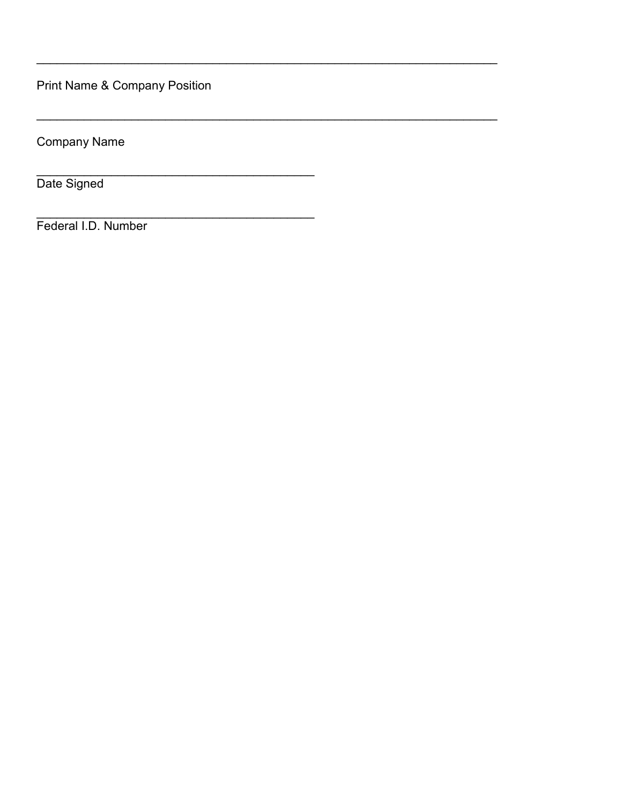Print Name & Company Position

**Company Name** 

Date Signed

Federal I.D. Number